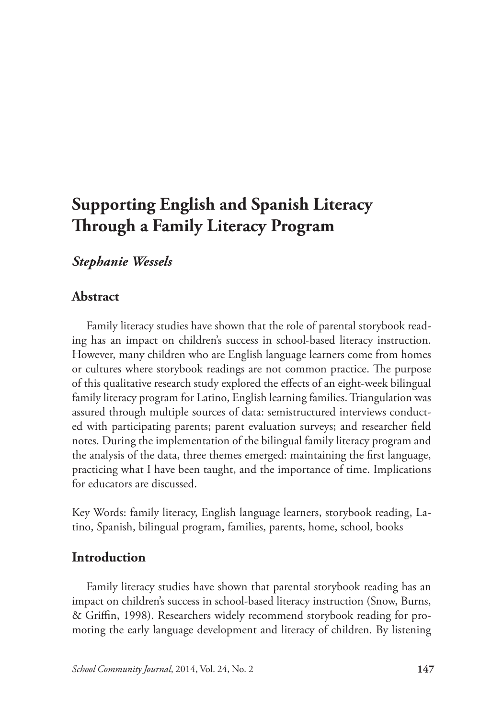# **Supporting English and Spanish Literacy Through a Family Literacy Program**

# *Stephanie Wessels*

# **Abstract**

Family literacy studies have shown that the role of parental storybook reading has an impact on children's success in school-based literacy instruction. However, many children who are English language learners come from homes or cultures where storybook readings are not common practice. The purpose of this qualitative research study explored the effects of an eight-week bilingual family literacy program for Latino, English learning families. Triangulation was assured through multiple sources of data: semistructured interviews conducted with participating parents; parent evaluation surveys; and researcher field notes. During the implementation of the bilingual family literacy program and the analysis of the data, three themes emerged: maintaining the first language, practicing what I have been taught, and the importance of time. Implications for educators are discussed.

Key Words: family literacy, English language learners, storybook reading, Latino, Spanish, bilingual program, families, parents, home, school, books

# **Introduction**

Family literacy studies have shown that parental storybook reading has an impact on children's success in school-based literacy instruction (Snow, Burns, & Griffin, 1998). Researchers widely recommend storybook reading for promoting the early language development and literacy of children. By listening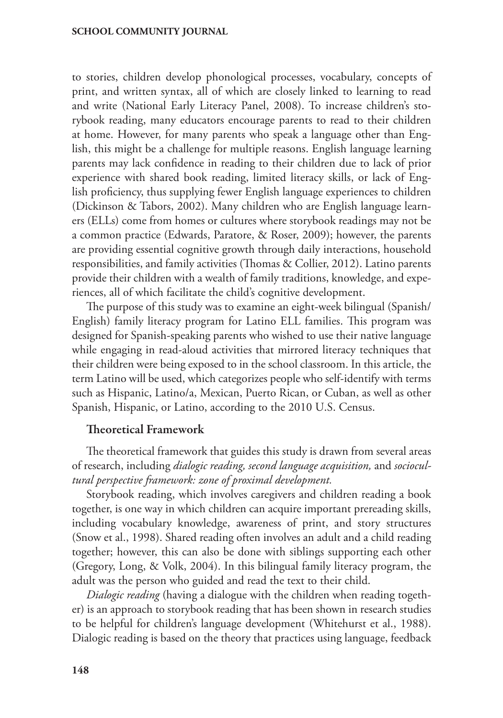to stories, children develop phonological processes, vocabulary, concepts of print, and written syntax, all of which are closely linked to learning to read and write (National Early Literacy Panel, 2008). To increase children's storybook reading, many educators encourage parents to read to their children at home. However, for many parents who speak a language other than English, this might be a challenge for multiple reasons. English language learning parents may lack confidence in reading to their children due to lack of prior experience with shared book reading, limited literacy skills, or lack of English proficiency, thus supplying fewer English language experiences to children (Dickinson & Tabors, 2002). Many children who are English language learners (ELLs) come from homes or cultures where storybook readings may not be a common practice (Edwards, Paratore, & Roser, 2009); however, the parents are providing essential cognitive growth through daily interactions, household responsibilities, and family activities (Thomas & Collier, 2012). Latino parents provide their children with a wealth of family traditions, knowledge, and experiences, all of which facilitate the child's cognitive development.

The purpose of this study was to examine an eight-week bilingual (Spanish/ English) family literacy program for Latino ELL families. This program was designed for Spanish-speaking parents who wished to use their native language while engaging in read-aloud activities that mirrored literacy techniques that their children were being exposed to in the school classroom. In this article, the term Latino will be used, which categorizes people who self-identify with terms such as Hispanic, Latino/a, Mexican, Puerto Rican, or Cuban, as well as other Spanish, Hispanic, or Latino, according to the 2010 U.S. Census.

## Theoretical Framework

The theoretical framework that guides this study is drawn from several areas of research, including *dialogic reading, second language acquisition,* and *sociocultural perspective framework: zone of proximal development.*

Storybook reading, which involves caregivers and children reading a book together, is one way in which children can acquire important prereading skills, including vocabulary knowledge, awareness of print, and story structures (Snow et al., 1998). Shared reading often involves an adult and a child reading together; however, this can also be done with siblings supporting each other (Gregory, Long, & Volk, 2004). In this bilingual family literacy program, the adult was the person who guided and read the text to their child.

*Dialogic reading* (having a dialogue with the children when reading together) is an approach to storybook reading that has been shown in research studies to be helpful for children's language development (Whitehurst et al., 1988). Dialogic reading is based on the theory that practices using language, feedback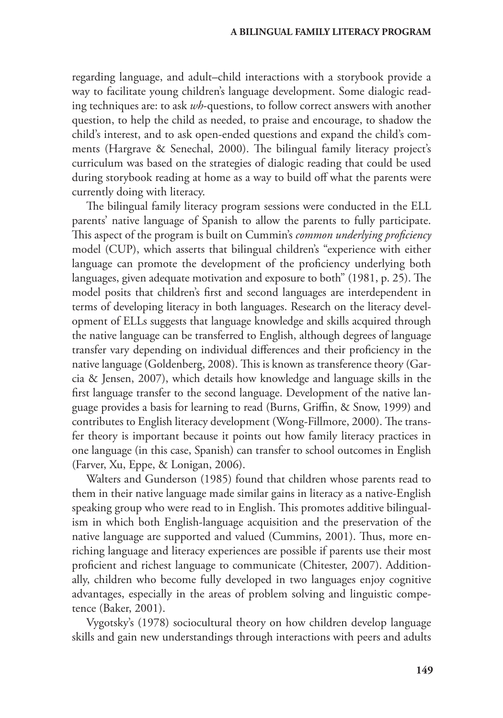regarding language, and adult–child interactions with a storybook provide a way to facilitate young children's language development. Some dialogic reading techniques are: to ask *wh*-questions, to follow correct answers with another question, to help the child as needed, to praise and encourage, to shadow the child's interest, and to ask open-ended questions and expand the child's comments (Hargrave & Senechal, 2000). The bilingual family literacy project's curriculum was based on the strategies of dialogic reading that could be used during storybook reading at home as a way to build off what the parents were currently doing with literacy.

The bilingual family literacy program sessions were conducted in the ELL parents' native language of Spanish to allow the parents to fully participate. This aspect of the program is built on Cummin's *common underlying proficiency* model (CUP), which asserts that bilingual children's "experience with either language can promote the development of the proficiency underlying both languages, given adequate motivation and exposure to both" (1981, p. 25). The model posits that children's first and second languages are interdependent in terms of developing literacy in both languages. Research on the literacy development of ELLs suggests that language knowledge and skills acquired through the native language can be transferred to English, although degrees of language transfer vary depending on individual differences and their proficiency in the native language (Goldenberg, 2008). This is known as transference theory (Garcia & Jensen, 2007), which details how knowledge and language skills in the first language transfer to the second language. Development of the native language provides a basis for learning to read (Burns, Griffin, & Snow, 1999) and contributes to English literacy development (Wong-Fillmore, 2000). The transfer theory is important because it points out how family literacy practices in one language (in this case, Spanish) can transfer to school outcomes in English (Farver, Xu, Eppe, & Lonigan, 2006).

Walters and Gunderson (1985) found that children whose parents read to them in their native language made similar gains in literacy as a native-English speaking group who were read to in English. This promotes additive bilingualism in which both English-language acquisition and the preservation of the native language are supported and valued (Cummins, 2001). Thus, more enriching language and literacy experiences are possible if parents use their most proficient and richest language to communicate (Chitester, 2007). Additionally, children who become fully developed in two languages enjoy cognitive advantages, especially in the areas of problem solving and linguistic competence (Baker, 2001).

Vygotsky's (1978) sociocultural theory on how children develop language skills and gain new understandings through interactions with peers and adults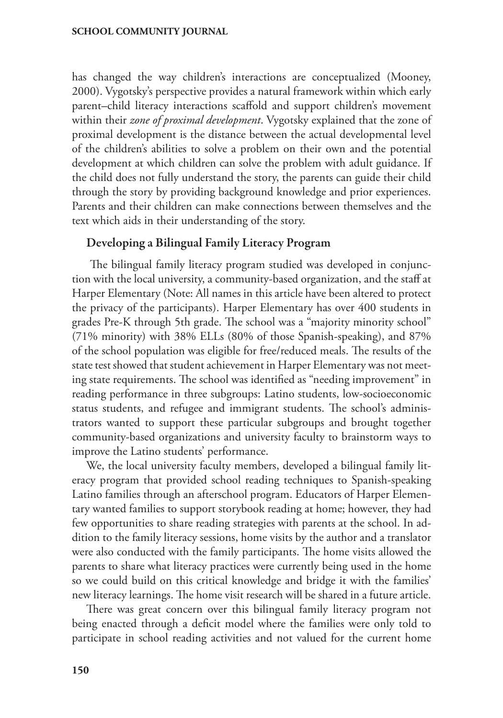has changed the way children's interactions are conceptualized (Mooney, 2000). Vygotsky's perspective provides a natural framework within which early parent–child literacy interactions scaffold and support children's movement within their *zone of proximal development*. Vygotsky explained that the zone of proximal development is the distance between the actual developmental level of the children's abilities to solve a problem on their own and the potential development at which children can solve the problem with adult guidance. If the child does not fully understand the story, the parents can guide their child through the story by providing background knowledge and prior experiences. Parents and their children can make connections between themselves and the text which aids in their understanding of the story.

## Developing a Bilingual Family Literacy Program

 The bilingual family literacy program studied was developed in conjunction with the local university, a community-based organization, and the staff at Harper Elementary (Note: All names in this article have been altered to protect the privacy of the participants). Harper Elementary has over 400 students in grades Pre-K through 5th grade. The school was a "majority minority school" (71% minority) with 38% ELLs (80% of those Spanish-speaking), and 87% of the school population was eligible for free/reduced meals. The results of the state test showed that student achievement in Harper Elementary was not meeting state requirements. The school was identified as "needing improvement" in reading performance in three subgroups: Latino students, low-socioeconomic status students, and refugee and immigrant students. The school's administrators wanted to support these particular subgroups and brought together community-based organizations and university faculty to brainstorm ways to improve the Latino students' performance.

We, the local university faculty members, developed a bilingual family literacy program that provided school reading techniques to Spanish-speaking Latino families through an afterschool program. Educators of Harper Elementary wanted families to support storybook reading at home; however, they had few opportunities to share reading strategies with parents at the school. In addition to the family literacy sessions, home visits by the author and a translator were also conducted with the family participants. The home visits allowed the parents to share what literacy practices were currently being used in the home so we could build on this critical knowledge and bridge it with the families' new literacy learnings. The home visit research will be shared in a future article.

There was great concern over this bilingual family literacy program not being enacted through a deficit model where the families were only told to participate in school reading activities and not valued for the current home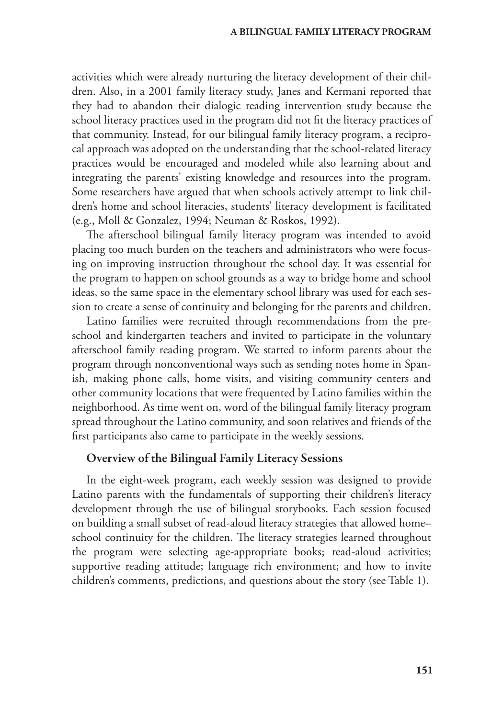activities which were already nurturing the literacy development of their children. Also, in a 2001 family literacy study, Janes and Kermani reported that they had to abandon their dialogic reading intervention study because the school literacy practices used in the program did not fit the literacy practices of that community. Instead, for our bilingual family literacy program, a reciprocal approach was adopted on the understanding that the school-related literacy practices would be encouraged and modeled while also learning about and integrating the parents' existing knowledge and resources into the program. Some researchers have argued that when schools actively attempt to link children's home and school literacies, students' literacy development is facilitated (e.g., Moll & Gonzalez, 1994; Neuman & Roskos, 1992).

The afterschool bilingual family literacy program was intended to avoid placing too much burden on the teachers and administrators who were focusing on improving instruction throughout the school day. It was essential for the program to happen on school grounds as a way to bridge home and school ideas, so the same space in the elementary school library was used for each session to create a sense of continuity and belonging for the parents and children.

Latino families were recruited through recommendations from the preschool and kindergarten teachers and invited to participate in the voluntary afterschool family reading program. We started to inform parents about the program through nonconventional ways such as sending notes home in Spanish, making phone calls, home visits, and visiting community centers and other community locations that were frequented by Latino families within the neighborhood. As time went on, word of the bilingual family literacy program spread throughout the Latino community, and soon relatives and friends of the first participants also came to participate in the weekly sessions.

# Overview of the Bilingual Family Literacy Sessions

In the eight-week program, each weekly session was designed to provide Latino parents with the fundamentals of supporting their children's literacy development through the use of bilingual storybooks. Each session focused on building a small subset of read-aloud literacy strategies that allowed home– school continuity for the children. The literacy strategies learned throughout the program were selecting age-appropriate books; read-aloud activities; supportive reading attitude; language rich environment; and how to invite children's comments, predictions, and questions about the story (see Table 1).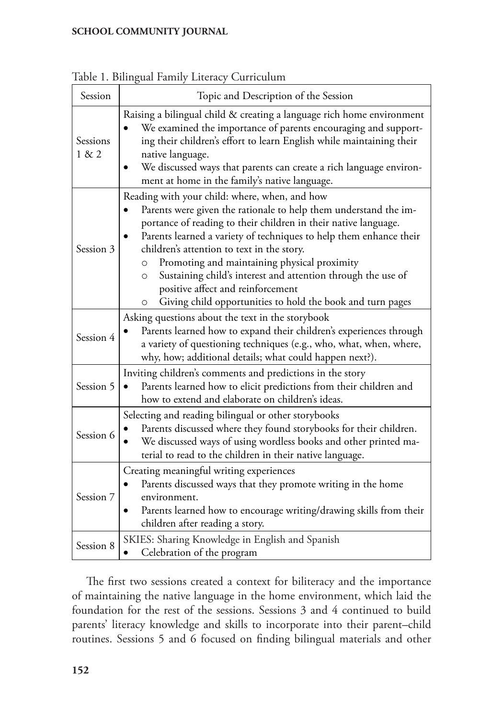| Session           | Topic and Description of the Session                                                                                                                                                                                                                                                                                                                                                                                                                                                                                                                         |
|-------------------|--------------------------------------------------------------------------------------------------------------------------------------------------------------------------------------------------------------------------------------------------------------------------------------------------------------------------------------------------------------------------------------------------------------------------------------------------------------------------------------------------------------------------------------------------------------|
| Sessions<br>1 & 2 | Raising a bilingual child & creating a language rich home environment<br>We examined the importance of parents encouraging and support-<br>ing their children's effort to learn English while maintaining their<br>native language.<br>We discussed ways that parents can create a rich language environ-<br>ment at home in the family's native language.                                                                                                                                                                                                   |
| Session 3         | Reading with your child: where, when, and how<br>Parents were given the rationale to help them understand the im-<br>portance of reading to their children in their native language.<br>Parents learned a variety of techniques to help them enhance their<br>children's attention to text in the story.<br>Promoting and maintaining physical proximity<br>$\circ$<br>Sustaining child's interest and attention through the use of<br>$\circ$<br>positive affect and reinforcement<br>Giving child opportunities to hold the book and turn pages<br>$\circ$ |
| Session 4         | Asking questions about the text in the storybook<br>Parents learned how to expand their children's experiences through<br>a variety of questioning techniques (e.g., who, what, when, where,<br>why, how; additional details; what could happen next?).                                                                                                                                                                                                                                                                                                      |
| Session 5         | Inviting children's comments and predictions in the story<br>Parents learned how to elicit predictions from their children and<br>how to extend and elaborate on children's ideas.                                                                                                                                                                                                                                                                                                                                                                           |
| Session 6         | Selecting and reading bilingual or other storybooks<br>Parents discussed where they found storybooks for their children.<br>We discussed ways of using wordless books and other printed ma-<br>terial to read to the children in their native language.                                                                                                                                                                                                                                                                                                      |
| Session 7         | Creating meaningful writing experiences<br>Parents discussed ways that they promote writing in the home<br>environment.<br>Parents learned how to encourage writing/drawing skills from their<br>children after reading a story.                                                                                                                                                                                                                                                                                                                             |
| Session 8         | SKIES: Sharing Knowledge in English and Spanish<br>Celebration of the program<br>$\bullet$                                                                                                                                                                                                                                                                                                                                                                                                                                                                   |

Table 1. Bilingual Family Literacy Curriculum

The first two sessions created a context for biliteracy and the importance of maintaining the native language in the home environment, which laid the foundation for the rest of the sessions. Sessions 3 and 4 continued to build parents' literacy knowledge and skills to incorporate into their parent–child routines. Sessions 5 and 6 focused on finding bilingual materials and other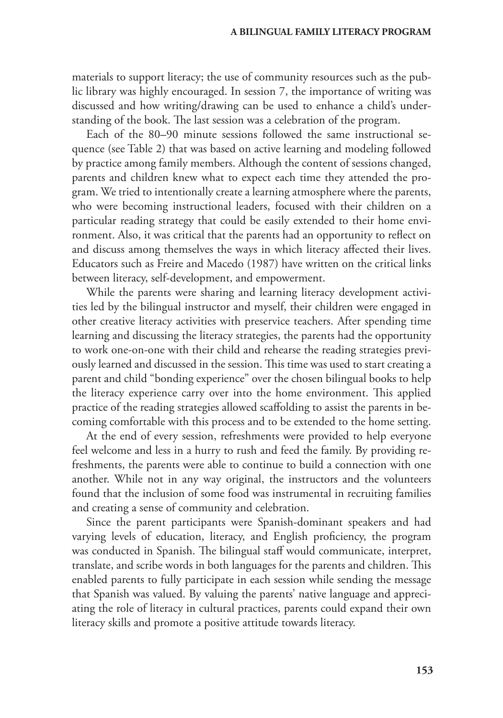materials to support literacy; the use of community resources such as the public library was highly encouraged. In session 7, the importance of writing was discussed and how writing/drawing can be used to enhance a child's understanding of the book. The last session was a celebration of the program.

Each of the 80–90 minute sessions followed the same instructional sequence (see Table 2) that was based on active learning and modeling followed by practice among family members. Although the content of sessions changed, parents and children knew what to expect each time they attended the program. We tried to intentionally create a learning atmosphere where the parents, who were becoming instructional leaders, focused with their children on a particular reading strategy that could be easily extended to their home environment. Also, it was critical that the parents had an opportunity to reflect on and discuss among themselves the ways in which literacy affected their lives. Educators such as Freire and Macedo (1987) have written on the critical links between literacy, self-development, and empowerment.

While the parents were sharing and learning literacy development activities led by the bilingual instructor and myself, their children were engaged in other creative literacy activities with preservice teachers. After spending time learning and discussing the literacy strategies, the parents had the opportunity to work one-on-one with their child and rehearse the reading strategies previously learned and discussed in the session. This time was used to start creating a parent and child "bonding experience" over the chosen bilingual books to help the literacy experience carry over into the home environment. This applied practice of the reading strategies allowed scaffolding to assist the parents in becoming comfortable with this process and to be extended to the home setting.

At the end of every session, refreshments were provided to help everyone feel welcome and less in a hurry to rush and feed the family. By providing refreshments, the parents were able to continue to build a connection with one another. While not in any way original, the instructors and the volunteers found that the inclusion of some food was instrumental in recruiting families and creating a sense of community and celebration.

Since the parent participants were Spanish-dominant speakers and had varying levels of education, literacy, and English proficiency, the program was conducted in Spanish. The bilingual staff would communicate, interpret, translate, and scribe words in both languages for the parents and children. This enabled parents to fully participate in each session while sending the message that Spanish was valued. By valuing the parents' native language and appreciating the role of literacy in cultural practices, parents could expand their own literacy skills and promote a positive attitude towards literacy.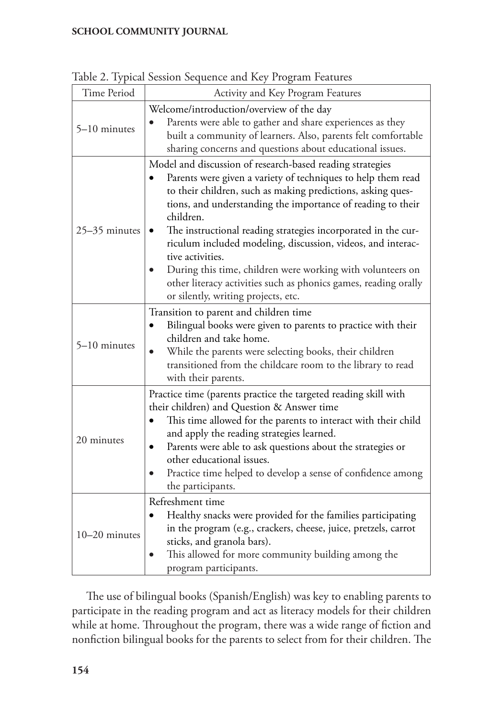|               | Tuble 2. Typical ocosion ocquence and twy Trogram Teatures                                                                                                                                                                                                                                                                                                                                                                                                                                                                                                                                            |  |
|---------------|-------------------------------------------------------------------------------------------------------------------------------------------------------------------------------------------------------------------------------------------------------------------------------------------------------------------------------------------------------------------------------------------------------------------------------------------------------------------------------------------------------------------------------------------------------------------------------------------------------|--|
| Time Period   | Activity and Key Program Features                                                                                                                                                                                                                                                                                                                                                                                                                                                                                                                                                                     |  |
| 5-10 minutes  | Welcome/introduction/overview of the day<br>Parents were able to gather and share experiences as they<br>built a community of learners. Also, parents felt comfortable<br>sharing concerns and questions about educational issues.                                                                                                                                                                                                                                                                                                                                                                    |  |
| 25-35 minutes | Model and discussion of research-based reading strategies<br>Parents were given a variety of techniques to help them read<br>to their children, such as making predictions, asking ques-<br>tions, and understanding the importance of reading to their<br>children.<br>The instructional reading strategies incorporated in the cur-<br>٠<br>riculum included modeling, discussion, videos, and interac-<br>tive activities.<br>During this time, children were working with volunteers on<br>other literacy activities such as phonics games, reading orally<br>or silently, writing projects, etc. |  |
| 5-10 minutes  | Transition to parent and children time<br>Bilingual books were given to parents to practice with their<br>children and take home.<br>While the parents were selecting books, their children<br>$\bullet$<br>transitioned from the childcare room to the library to read<br>with their parents.                                                                                                                                                                                                                                                                                                        |  |
| 20 minutes    | Practice time (parents practice the targeted reading skill with<br>their children) and Question & Answer time<br>This time allowed for the parents to interact with their child<br>and apply the reading strategies learned.<br>Parents were able to ask questions about the strategies or<br>٠<br>other educational issues.<br>Practice time helped to develop a sense of confidence among<br>the participants.                                                                                                                                                                                      |  |
| 10-20 minutes | Refreshment time<br>Healthy snacks were provided for the families participating<br>in the program (e.g., crackers, cheese, juice, pretzels, carrot<br>sticks, and granola bars).<br>This allowed for more community building among the<br>program participants.                                                                                                                                                                                                                                                                                                                                       |  |

Table 2. Typical Session Sequence and Key Program Features

The use of bilingual books (Spanish/English) was key to enabling parents to participate in the reading program and act as literacy models for their children while at home. Throughout the program, there was a wide range of fiction and nonfiction bilingual books for the parents to select from for their children. The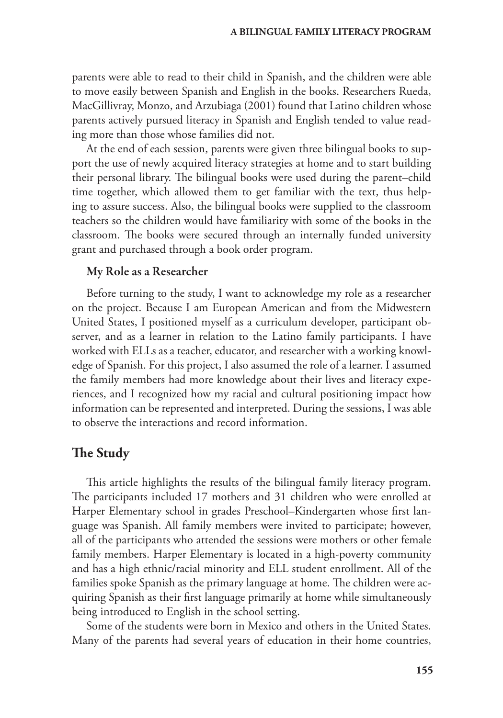parents were able to read to their child in Spanish, and the children were able to move easily between Spanish and English in the books. Researchers Rueda, MacGillivray, Monzo, and Arzubiaga (2001) found that Latino children whose parents actively pursued literacy in Spanish and English tended to value reading more than those whose families did not.

At the end of each session, parents were given three bilingual books to support the use of newly acquired literacy strategies at home and to start building their personal library. The bilingual books were used during the parent–child time together, which allowed them to get familiar with the text, thus helping to assure success. Also, the bilingual books were supplied to the classroom teachers so the children would have familiarity with some of the books in the classroom. The books were secured through an internally funded university grant and purchased through a book order program.

## My Role as a Researcher

Before turning to the study, I want to acknowledge my role as a researcher on the project. Because I am European American and from the Midwestern United States, I positioned myself as a curriculum developer, participant observer, and as a learner in relation to the Latino family participants. I have worked with ELLs as a teacher, educator, and researcher with a working knowledge of Spanish. For this project, I also assumed the role of a learner. I assumed the family members had more knowledge about their lives and literacy experiences, and I recognized how my racial and cultural positioning impact how information can be represented and interpreted. During the sessions, I was able to observe the interactions and record information.

# **The Study**

This article highlights the results of the bilingual family literacy program. The participants included 17 mothers and 31 children who were enrolled at Harper Elementary school in grades Preschool–Kindergarten whose first language was Spanish. All family members were invited to participate; however, all of the participants who attended the sessions were mothers or other female family members. Harper Elementary is located in a high-poverty community and has a high ethnic/racial minority and ELL student enrollment. All of the families spoke Spanish as the primary language at home. The children were acquiring Spanish as their first language primarily at home while simultaneously being introduced to English in the school setting.

Some of the students were born in Mexico and others in the United States. Many of the parents had several years of education in their home countries,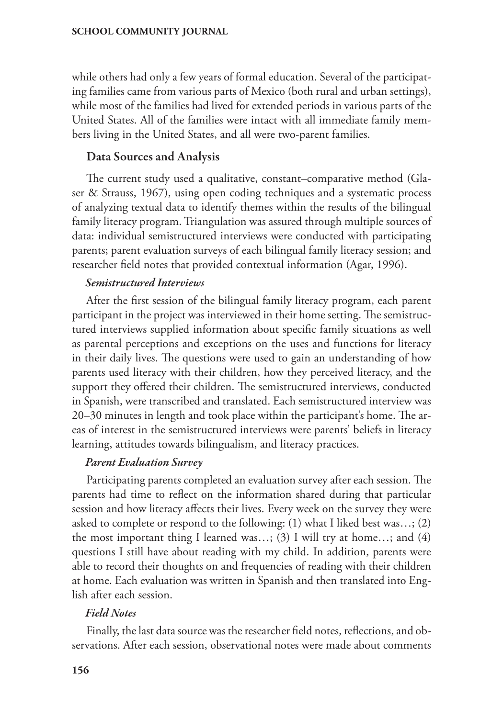while others had only a few years of formal education. Several of the participating families came from various parts of Mexico (both rural and urban settings), while most of the families had lived for extended periods in various parts of the United States. All of the families were intact with all immediate family members living in the United States, and all were two-parent families.

## Data Sources and Analysis

The current study used a qualitative, constant–comparative method (Glaser & Strauss, 1967), using open coding techniques and a systematic process of analyzing textual data to identify themes within the results of the bilingual family literacy program. Triangulation was assured through multiple sources of data: individual semistructured interviews were conducted with participating parents; parent evaluation surveys of each bilingual family literacy session; and researcher field notes that provided contextual information (Agar, 1996).

## *Semistructured Interviews*

After the first session of the bilingual family literacy program, each parent participant in the project was interviewed in their home setting. The semistructured interviews supplied information about specific family situations as well as parental perceptions and exceptions on the uses and functions for literacy in their daily lives. The questions were used to gain an understanding of how parents used literacy with their children, how they perceived literacy, and the support they offered their children. The semistructured interviews, conducted in Spanish, were transcribed and translated. Each semistructured interview was 20–30 minutes in length and took place within the participant's home. The areas of interest in the semistructured interviews were parents' beliefs in literacy learning, attitudes towards bilingualism, and literacy practices.

## *Parent Evaluation Survey*

Participating parents completed an evaluation survey after each session. The parents had time to reflect on the information shared during that particular session and how literacy affects their lives. Every week on the survey they were asked to complete or respond to the following: (1) what I liked best was…; (2) the most important thing I learned was...; (3) I will try at home...; and (4) questions I still have about reading with my child. In addition, parents were able to record their thoughts on and frequencies of reading with their children at home. Each evaluation was written in Spanish and then translated into English after each session.

## *Field Notes*

Finally, the last data source was the researcher field notes, reflections, and observations. After each session, observational notes were made about comments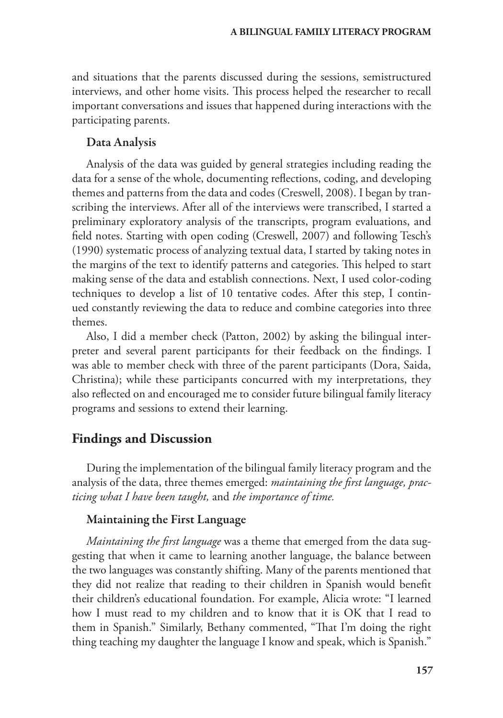and situations that the parents discussed during the sessions, semistructured interviews, and other home visits. This process helped the researcher to recall important conversations and issues that happened during interactions with the participating parents.

## Data Analysis

Analysis of the data was guided by general strategies including reading the data for a sense of the whole, documenting reflections, coding, and developing themes and patterns from the data and codes (Creswell, 2008). I began by transcribing the interviews. After all of the interviews were transcribed, I started a preliminary exploratory analysis of the transcripts, program evaluations, and field notes. Starting with open coding (Creswell, 2007) and following Tesch's (1990) systematic process of analyzing textual data, I started by taking notes in the margins of the text to identify patterns and categories. This helped to start making sense of the data and establish connections. Next, I used color-coding techniques to develop a list of 10 tentative codes. After this step, I continued constantly reviewing the data to reduce and combine categories into three themes.

Also, I did a member check (Patton, 2002) by asking the bilingual interpreter and several parent participants for their feedback on the findings. I was able to member check with three of the parent participants (Dora, Saida, Christina); while these participants concurred with my interpretations, they also reflected on and encouraged me to consider future bilingual family literacy programs and sessions to extend their learning.

## **Findings and Discussion**

During the implementation of the bilingual family literacy program and the analysis of the data, three themes emerged: *maintaining the first language, practicing what I have been taught,* and *the importance of time.*

## Maintaining the First Language

*Maintaining the first language* was a theme that emerged from the data suggesting that when it came to learning another language, the balance between the two languages was constantly shifting. Many of the parents mentioned that they did not realize that reading to their children in Spanish would benefit their children's educational foundation. For example, Alicia wrote: "I learned how I must read to my children and to know that it is OK that I read to them in Spanish." Similarly, Bethany commented, "That I'm doing the right thing teaching my daughter the language I know and speak, which is Spanish."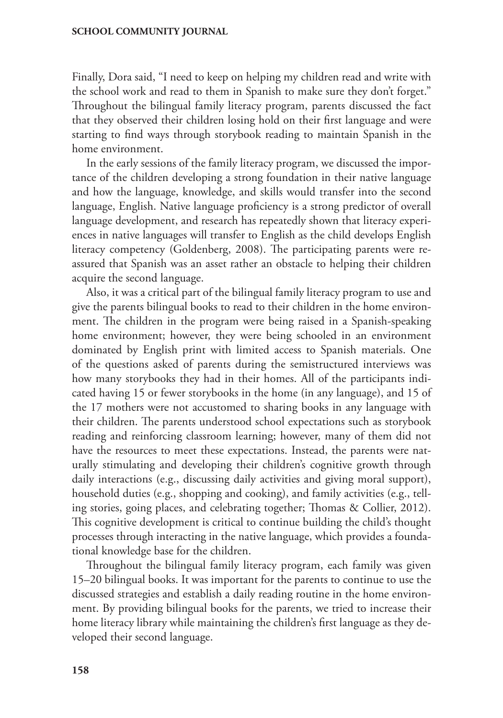Finally, Dora said, "I need to keep on helping my children read and write with the school work and read to them in Spanish to make sure they don't forget." Throughout the bilingual family literacy program, parents discussed the fact that they observed their children losing hold on their first language and were starting to find ways through storybook reading to maintain Spanish in the home environment.

In the early sessions of the family literacy program, we discussed the importance of the children developing a strong foundation in their native language and how the language, knowledge, and skills would transfer into the second language, English. Native language proficiency is a strong predictor of overall language development, and research has repeatedly shown that literacy experiences in native languages will transfer to English as the child develops English literacy competency (Goldenberg, 2008). The participating parents were reassured that Spanish was an asset rather an obstacle to helping their children acquire the second language.

Also, it was a critical part of the bilingual family literacy program to use and give the parents bilingual books to read to their children in the home environment. The children in the program were being raised in a Spanish-speaking home environment; however, they were being schooled in an environment dominated by English print with limited access to Spanish materials. One of the questions asked of parents during the semistructured interviews was how many storybooks they had in their homes. All of the participants indicated having 15 or fewer storybooks in the home (in any language), and 15 of the 17 mothers were not accustomed to sharing books in any language with their children. The parents understood school expectations such as storybook reading and reinforcing classroom learning; however, many of them did not have the resources to meet these expectations. Instead, the parents were naturally stimulating and developing their children's cognitive growth through daily interactions (e.g., discussing daily activities and giving moral support), household duties (e.g., shopping and cooking), and family activities (e.g., telling stories, going places, and celebrating together; Thomas & Collier, 2012). This cognitive development is critical to continue building the child's thought processes through interacting in the native language, which provides a foundational knowledge base for the children.

Throughout the bilingual family literacy program, each family was given 15–20 bilingual books. It was important for the parents to continue to use the discussed strategies and establish a daily reading routine in the home environment. By providing bilingual books for the parents, we tried to increase their home literacy library while maintaining the children's first language as they developed their second language.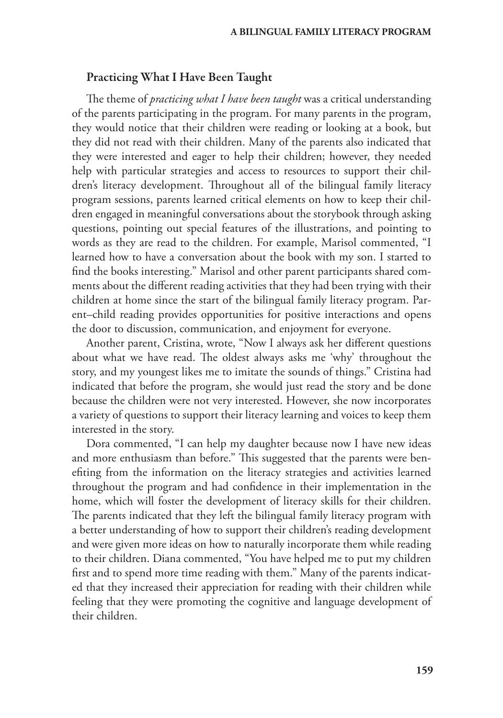## Practicing What I Have Been Taught

The theme of *practicing what I have been taught* was a critical understanding of the parents participating in the program. For many parents in the program, they would notice that their children were reading or looking at a book, but they did not read with their children. Many of the parents also indicated that they were interested and eager to help their children; however, they needed help with particular strategies and access to resources to support their children's literacy development. Throughout all of the bilingual family literacy program sessions, parents learned critical elements on how to keep their children engaged in meaningful conversations about the storybook through asking questions, pointing out special features of the illustrations, and pointing to words as they are read to the children. For example, Marisol commented, "I learned how to have a conversation about the book with my son. I started to find the books interesting." Marisol and other parent participants shared comments about the different reading activities that they had been trying with their children at home since the start of the bilingual family literacy program. Parent–child reading provides opportunities for positive interactions and opens the door to discussion, communication, and enjoyment for everyone.

Another parent, Cristina, wrote, "Now I always ask her different questions about what we have read. The oldest always asks me 'why' throughout the story, and my youngest likes me to imitate the sounds of things." Cristina had indicated that before the program, she would just read the story and be done because the children were not very interested. However, she now incorporates a variety of questions to support their literacy learning and voices to keep them interested in the story.

Dora commented, "I can help my daughter because now I have new ideas and more enthusiasm than before." This suggested that the parents were benefiting from the information on the literacy strategies and activities learned throughout the program and had confidence in their implementation in the home, which will foster the development of literacy skills for their children. The parents indicated that they left the bilingual family literacy program with a better understanding of how to support their children's reading development and were given more ideas on how to naturally incorporate them while reading to their children. Diana commented, "You have helped me to put my children first and to spend more time reading with them." Many of the parents indicated that they increased their appreciation for reading with their children while feeling that they were promoting the cognitive and language development of their children.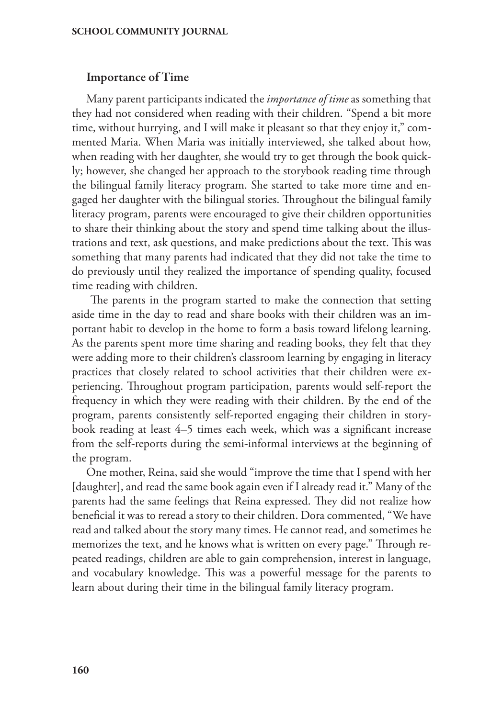## Importance of Time

Many parent participants indicated the *importance of time* as something that they had not considered when reading with their children. "Spend a bit more time, without hurrying, and I will make it pleasant so that they enjoy it," commented Maria. When Maria was initially interviewed, she talked about how, when reading with her daughter, she would try to get through the book quickly; however, she changed her approach to the storybook reading time through the bilingual family literacy program. She started to take more time and engaged her daughter with the bilingual stories. Throughout the bilingual family literacy program, parents were encouraged to give their children opportunities to share their thinking about the story and spend time talking about the illustrations and text, ask questions, and make predictions about the text. This was something that many parents had indicated that they did not take the time to do previously until they realized the importance of spending quality, focused time reading with children.

 The parents in the program started to make the connection that setting aside time in the day to read and share books with their children was an important habit to develop in the home to form a basis toward lifelong learning. As the parents spent more time sharing and reading books, they felt that they were adding more to their children's classroom learning by engaging in literacy practices that closely related to school activities that their children were experiencing. Throughout program participation, parents would self-report the frequency in which they were reading with their children. By the end of the program, parents consistently self-reported engaging their children in storybook reading at least 4–5 times each week, which was a significant increase from the self-reports during the semi-informal interviews at the beginning of the program.

One mother, Reina, said she would "improve the time that I spend with her [daughter], and read the same book again even if I already read it." Many of the parents had the same feelings that Reina expressed. They did not realize how beneficial it was to reread a story to their children. Dora commented, "We have read and talked about the story many times. He cannot read, and sometimes he memorizes the text, and he knows what is written on every page." Through repeated readings, children are able to gain comprehension, interest in language, and vocabulary knowledge. This was a powerful message for the parents to learn about during their time in the bilingual family literacy program.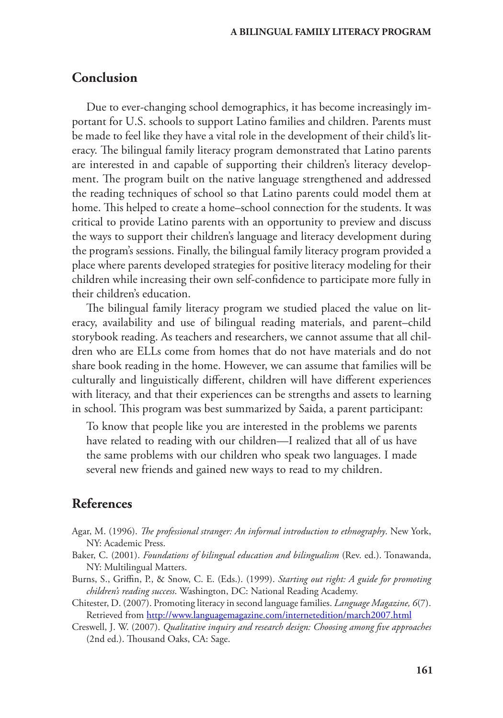# **Conclusion**

Due to ever-changing school demographics, it has become increasingly important for U.S. schools to support Latino families and children. Parents must be made to feel like they have a vital role in the development of their child's literacy. The bilingual family literacy program demonstrated that Latino parents are interested in and capable of supporting their children's literacy development. The program built on the native language strengthened and addressed the reading techniques of school so that Latino parents could model them at home. This helped to create a home–school connection for the students. It was critical to provide Latino parents with an opportunity to preview and discuss the ways to support their children's language and literacy development during the program's sessions. Finally, the bilingual family literacy program provided a place where parents developed strategies for positive literacy modeling for their children while increasing their own self-confidence to participate more fully in their children's education.

The bilingual family literacy program we studied placed the value on literacy, availability and use of bilingual reading materials, and parent–child storybook reading. As teachers and researchers, we cannot assume that all children who are ELLs come from homes that do not have materials and do not share book reading in the home. However, we can assume that families will be culturally and linguistically different, children will have different experiences with literacy, and that their experiences can be strengths and assets to learning in school. This program was best summarized by Saida, a parent participant:

To know that people like you are interested in the problems we parents have related to reading with our children—I realized that all of us have the same problems with our children who speak two languages. I made several new friends and gained new ways to read to my children.

# **References**

- Agar, M. (1996). *The professional stranger: An informal introduction to ethnography*. New York, NY: Academic Press.
- Baker, C. (2001). *Foundations of bilingual education and bilingualism* (Rev. ed.). Tonawanda, NY: Multilingual Matters.
- Burns, S., Griffin, P., & Snow, C. E. (Eds.). (1999). *Starting out right: A guide for promoting children's reading success*. Washington, DC: National Reading Academy.
- Chitester, D. (2007). Promoting literacy in second language families. *Language Magazine, 6*(7). Retrieved from <http://www.languagemagazine.com/internetedition/march2007.html>
- Creswell, J. W. (2007). *Qualitative inquiry and research design: Choosing among five approaches* (2nd ed.). Thousand Oaks, CA: Sage.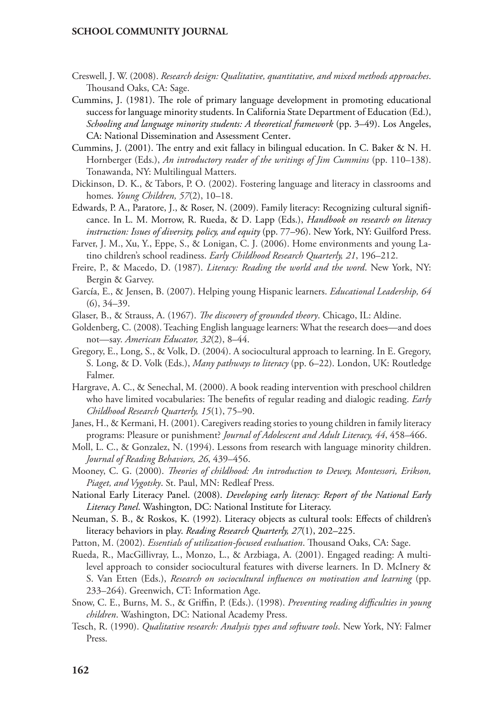- Creswell, J. W. (2008). *Research design: Qualitative, quantitative, and mixed methods approaches*. Thousand Oaks, CA: Sage.
- Cummins, J. (1981). The role of primary language development in promoting educational success for language minority students. In California State Department of Education (Ed.), *Schooling and language minority students: A theoretical framework* (pp. 3–49). Los Angeles, CA: National Dissemination and Assessment Center.
- Cummins, J. (2001). The entry and exit fallacy in bilingual education. In C. Baker & N. H. Hornberger (Eds.), *An introductory reader of the writings of Jim Cummins* (pp. 110–138). Tonawanda, NY: Multilingual Matters.
- Dickinson, D. K., & Tabors, P. O. (2002). Fostering language and literacy in classrooms and homes. *Young Children, 57*(2), 10–18.
- Edwards, P. A., Paratore, J., & Roser, N. (2009). Family literacy: Recognizing cultural significance. In L. M. Morrow, R. Rueda, & D. Lapp (Eds.), *[Handbook on research on literacy](http://www.amazon.com/Handbook-Research-Literacy-Diversity-Lesley/dp/1606232460/ref=sr_1_7?s=books&ie=UTF8&qid=1337895204&sr=1-7)  [instruction](http://www.amazon.com/Handbook-Research-Literacy-Diversity-Lesley/dp/1606232460/ref=sr_1_7?s=books&ie=UTF8&qid=1337895204&sr=1-7): Issues of diversity, policy, and equity* (pp. 77–96). New York, NY: Guilford Press.
- Farver, J. M., Xu, Y., Eppe, S., & Lonigan, C. J. (2006). Home environments and young Latino children's school readiness. *Early Childhood Research Quarterly, 21*, 196–212.
- Freire, P., & Macedo, D. (1987). *Literacy: Reading the world and the word*. New York, NY: Bergin & Garvey.
- García, E., & Jensen, B. (2007). Helping young Hispanic learners. *Educational Leadership, 64*  (6), 34–39.
- Glaser, B., & Strauss, A. (1967). *The discovery of grounded theory*. Chicago, IL: Aldine.
- Goldenberg, C. (2008). Teaching English language learners: What the research does—and does not—say. *American Educator, 32*(2), 8–44.
- Gregory, E., Long, S., & Volk, D. (2004). A sociocultural approach to learning. In E. Gregory, S. Long, & D. Volk (Eds.), *Many pathways to literacy* (pp. 6–22). London, UK: Routledge Falmer.
- Hargrave, A. C., & Senechal, M. (2000). A book reading [intervention](http://legal-dictionary.thefreedictionary.com/Intervention) with preschool children who have limited vocabularies: The benefits of regular reading and [dialogic](http://www.thefreedictionary.com/Dialogic) reading. *Early Childhood Research Quarterly, 15*(1), 75–90.
- Janes, H., & Kermani, H. (2001). Caregivers reading stories to young children in family literacy programs: Pleasure or punishment? *Journal of Adolescent and Adult Literacy, 44*, 458–466.
- Moll, L. C., & Gonzalez, N. (1994). Lessons from research with language minority children. *Journal of Reading Behaviors, 26*, 439–456.
- Mooney, C. G. (2000). *Theories of childhood: An introduction to Dewey, Montessori, Erikson, Piaget, and Vygotsky*. St. Paul, MN: Redleaf Press.
- National Early Literacy Panel. (2008). *Developing early literacy: Report of the National Early Literacy Panel*. Washington, DC: National Institute for Literacy.
- Neuman, S. B., & Roskos, K. (1992). Literacy objects as cultural tools: Effects of children's literacy behaviors in play. *Reading Research Quarterly, 27*(1), 202–225.
- Patton, M. (2002). *Essentials of utilization-focused evaluation*. Thousand Oaks, CA: Sage.
- Rueda, R., MacGillivray, L., Monzo, L., & Arzbiaga, A. (2001). Engaged reading: A multilevel approach to consider sociocultural features with diverse learners. In D. McInery & S. Van Etten (Eds.), *Research on sociocultural influences on motivation and learning* (pp. 233–264). Greenwich, CT: Information Age.
- Snow, C. E., Burns, M. S., & Griffin, P. (Eds.). (1998). *Preventing reading difficulties in young children*. Washington, DC: National Academy Press.
- Tesch, R. (1990). *Qualitative research: Analysis types and software tools*. New York, NY: Falmer Press.